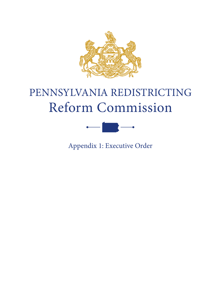

## PENNSYLVANIA REDISTRICTING Reform Commission



Appendix 1: Executive Order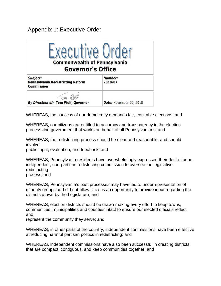## Appendix 1: Executive Order



WHEREAS, the success of our democracy demands fair, equitable elections; and

WHEREAS, our citizens are entitled to accuracy and transparency in the election process and government that works on behalf of all Pennsylvanians; and

WHEREAS, the redistricting process should be clear and reasonable, and should involve

public input, evaluation, and feedback; and

WHEREAS, Pennsylvania residents have overwhelmingly expressed their desire for an independent, non-partisan redistricting commission to oversee the legislative redistricting process; and

WHEREAS, Pennsylvania's past processes may have led to underrepresentation of minority groups and did not allow citizens an opportunity to provide input regarding the districts drawn by the Legislature; and

WHEREAS, election districts should be drawn making every effort to keep towns, communities, municipalities and counties intact to ensure our elected officials reflect and

represent the community they serve; and

WHEREAS, in other parts of the country, independent commissions have been effective at reducing harmful partisan politics in redistricting; and

WHEREAS, independent commissions have also been successful in creating districts that are compact, contiguous, and keep communities together; and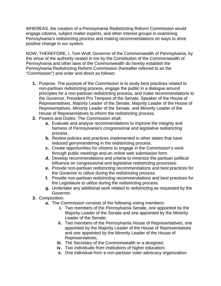WHEREAS, the creation of a Pennsylvania Redistricting Reform Commission would engage citizens, subject matter experts, and other interest groups in examining Pennsylvania's redistricting process and making recommendations on ways to drive positive change in our system.

NOW, THEREFORE, I, Tom Wolf, Governor of the Commonwealth of Pennsylvania, by the virtue of the authority vested in me by the Constitution of the Commonwealth of Pennsylvania and other laws of the Commonwealth do hereby establish the Pennsylvania Redistricting Reform Commission (hereafter referred to as the "Commission") and order and direct as follows:

- **1.** Purpose. The purpose of the Commission is to study best practices related to non-partisan redistricting process, engage the public in a dialogue around principles for a non-partisan redistricting process, and make recommendations to the Governor, President Pro Tempore of the Senate, Speaker of the House of Representatives, Majority Leader of the Senate, Majority Leader of the House of Representatives, Minority Leader of the Senate, and Minority Leader of the House of Representatives to inform the redistricting process.
- **2.** Powers and Duties. The Commission shall:
	- **a.** Evaluate and analyze recommendations to improve the integrity and fairness of Pennsylvania's congressional and legislative redistricting process.
	- **b.** Review policies and practices implemented in other states that have reduced gerrymandering in the redistricting process.
	- **c.** Create opportunities for citizens to engage in the Commission's work through public meetings and an online web submission form.
	- **d.** Develop recommendations and criteria to minimize the partisan political influence on congressional and legislative redistricting processes.
	- **e.** Provide non-partisan redistricting recommendations and best practices for the Governor to utilize during the redistricting process.
	- **f.** Provide non-partisan redistricting recommendations and best practices for the Legislature to utilize during the redistricting process.
	- **g.** Undertake any additional work related to redistricting as requested by the Governor.
- **3.** Composition.
	- **a.** The Commission consists of the following voting members:
		- **i.** Two members of the Pennsylvania Senate, one appointed by the Majority Leader of the Senate and one appointed by the Minority Leader of the Senate;
		- **ii.** Two members of the Pennsylvania House of Representatives, one appointed by the Majority Leader of the House of Representatives and one appointed by the Minority Leader of the House of Representatives;
		- **iii.** The Secretary of the Commonwealth or a designee;
		- **iv.** Two individuals from institutions of higher education;
		- **v.** One individual from a non-partisan voter advocacy organization;